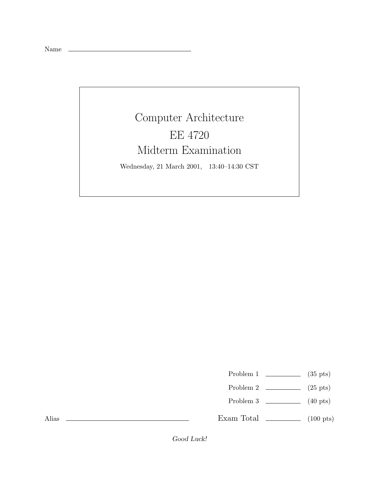Name

## Computer Architecture EE 4720 Midterm Examination

Wednesday, 21 March 2001, 13:40–14:30 CST

Problem 1  $\qquad \qquad$  (35 pts)

- Problem 2  $\qquad \qquad$  (25 pts)
- Problem 3 (40 pts)

Exam Total  $\qquad \qquad$  (100 pts)

Alias

Good Luck!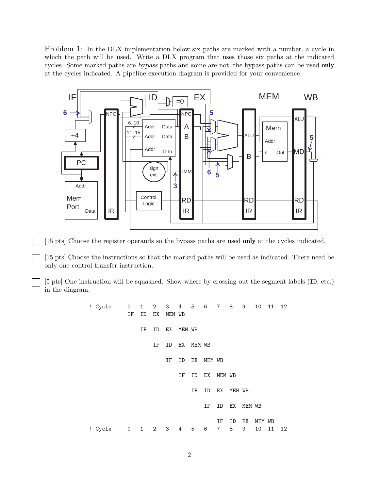Problem 1: In the DLX implementation below six paths are marked with a number, a cycle in which the path will be used. Write a DLX program that uses those six paths at the indicated cycles. Some marked paths are bypass paths and some are not; the bypass paths can be used **only** at the cycles indicated. A pipeline execution diagram is provided for your convenience.



[15 pts] Choose the register operands so the bypass paths are used **only** at the cycles indicated.

[15 pts] Choose the instructions so that the marked paths will be used as indicated. There need be only one control transfer instruction.

[5 pts] One instruction will be squashed. Show where by crossing out the segment labels (ID, etc.) in the diagram.

> ! Cycle 0 1 2 3 4 5 6 7 8 9 10 11 12 IF ID EX MEM WB IF ID EX MEM WB IF ID EX MEM WB IF ID EX MEM WB IF ID EX MEM WB IF ID EX MEM WB IF ID EX MEM WB IF ID EX MEM WB ! Cycle 0 1 2 3 4 5 6 7 8 9 10 11 12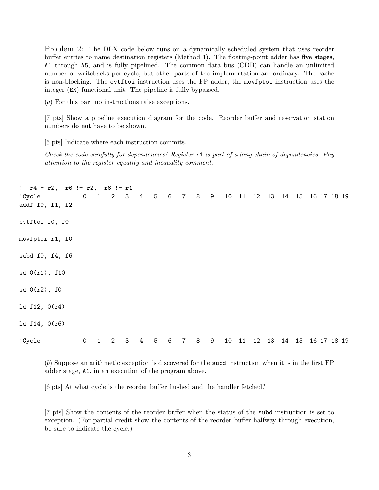Problem 2: The DLX code below runs on a dynamically scheduled system that uses reorder buffer entries to name destination registers (Method 1). The floating-point adder has **five stages**, A1 through A5, and is fully pipelined. The common data bus (CDB) can handle an unlimited number of writebacks per cycle, but other parts of the implementation are ordinary. The cache is non-blocking. The cvtftoi instruction uses the FP adder; the movfptoi instruction uses the integer (EX) functional unit. The pipeline is fully bypassed.

(*a*) For this part no instructions raise exceptions.

[7 pts] Show a pipeline execution diagram for the code. Reorder buffer and reservation station numbers **do not** have to be shown.

[5 pts] Indicate where each instruction commits.

*Check the code carefully for dependencies! Register* r1 *is part of a long chain of dependencies. Pay attention to the register equality and inequality comment.*

| $!$ $r4 = r2$ , $r6 != r2$ , $r6 != r1$<br>!Cycle<br>addf f0, f1, f2 |             | 0 1 2 3 4 5 6 7 8 9 |             |   |                 |                 |                 |       |  |  |  | 10 11 12 13 14 15 16 17 18 19 |  |  |
|----------------------------------------------------------------------|-------------|---------------------|-------------|---|-----------------|-----------------|-----------------|-------|--|--|--|-------------------------------|--|--|
| cvtftoi f0, f0                                                       |             |                     |             |   |                 |                 |                 |       |  |  |  |                               |  |  |
| movfptoi r1, f0                                                      |             |                     |             |   |                 |                 |                 |       |  |  |  |                               |  |  |
| subd f0, f4, f6                                                      |             |                     |             |   |                 |                 |                 |       |  |  |  |                               |  |  |
| sd(0(r1), f10)                                                       |             |                     |             |   |                 |                 |                 |       |  |  |  |                               |  |  |
| sd(0(r2), f0)                                                        |             |                     |             |   |                 |                 |                 |       |  |  |  |                               |  |  |
| ld f12, 0(r4)                                                        |             |                     |             |   |                 |                 |                 |       |  |  |  |                               |  |  |
| 1d $f14, 0(r6)$                                                      |             |                     |             |   |                 |                 |                 |       |  |  |  |                               |  |  |
| !Cycle                                                               | $\mathbf 0$ | $\mathbf{1}$        | $2^{\circ}$ | 3 | $4\overline{ }$ | $5\phantom{.0}$ | $6\overline{6}$ | 7 8 9 |  |  |  | 10 11 12 13 14 15 16 17 18 19 |  |  |

(*b*) Suppose an arithmetic exception is discovered for the subd instruction when it is in the first FP adder stage, A1, in an execution of the program above.

[6 pts] At what cycle is the reorder buffer flushed and the handler fetched?

[7 pts] Show the contents of the reorder buffer when the status of the subd instruction is set to exception. (For partial credit show the contents of the reorder buffer halfway through execution, be sure to indicate the cycle.)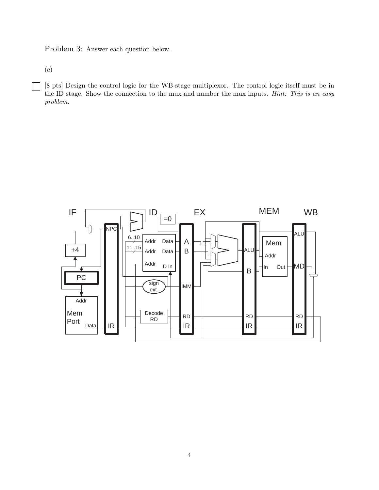Problem 3: Answer each question below.

(*a*)

[8 pts] Design the control logic for the WB-stage multiplexor. The control logic itself must be in the ID stage. Show the connection to the mux and number the mux inputs. *Hint: This is an easy problem.*

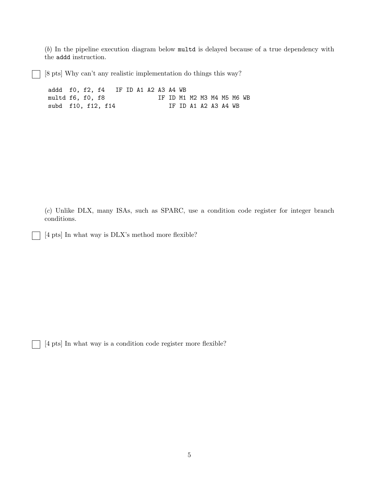(*b*) In the pipeline execution diagram below multd is delayed because of a true dependency with the addd instruction.

[8 pts] Why can't any realistic implementation do things this way?

addd f0, f2, f4 IF ID A1 A2 A3 A4 WB multd f6, f0, f8 IF ID M1 M2 M3 M4 M5 M6 WB subd f10, f12, f14 IF ID A1 A2 A3 A4 WB

(*c*) Unlike DLX, many ISAs, such as SPARC, use a condition code register for integer branch conditions.

[4 pts] In what way is DLX's method more flexible?

[4 pts] In what way is a condition code register more flexible?

 $\blacksquare$